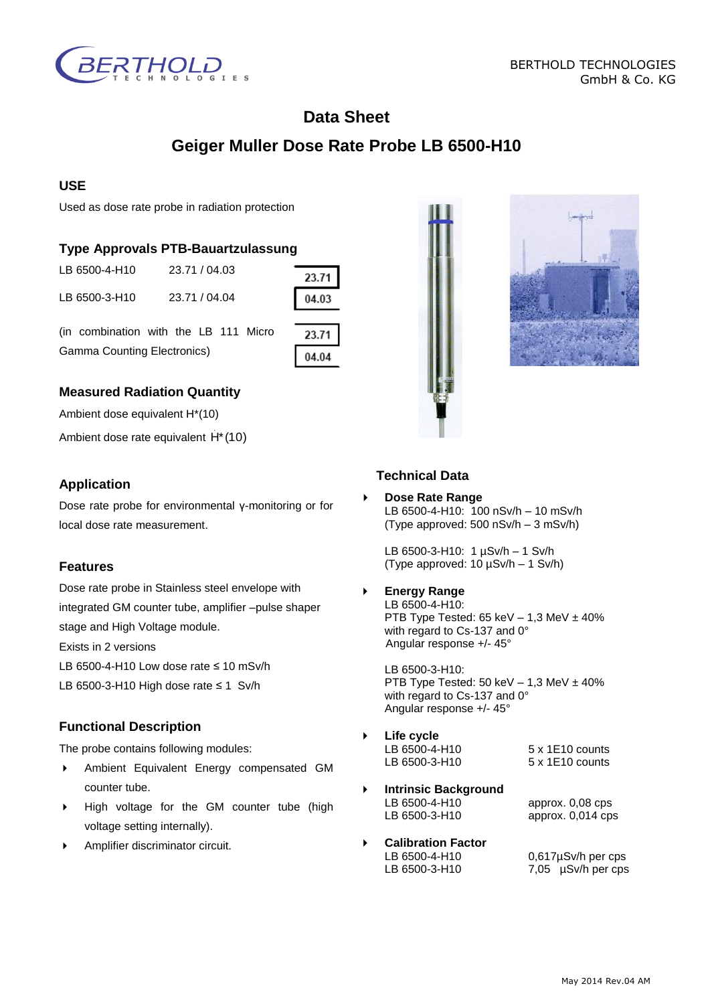

# **Data Sheet**

# **Geiger Muller Dose Rate Probe LB 6500-H10**

### **USE**

Used as dose rate probe in radiation protection

## **Type Approvals PTB-Bauartzulassung**

| LB 6500-3-H10 | 23.71 / 04.04 |
|---------------|---------------|

LB 6500-4-H10 23.71 / 04.03

23.71 04.03

(in combination with the LB 111 Micro Gamma Counting Electronics)

| . . |  |
|-----|--|
|     |  |

# **Measured Radiation Quantity**

Ambient dose equivalent H\*(10)

Ambient dose rate equivalent H<sup>\*</sup> (10)

### **Application**

Dose rate probe for environmental γ-monitoring or for local dose rate measurement.

#### **Features**

Dose rate probe in Stainless steel envelope with integrated GM counter tube, amplifier –pulse shaper stage and High Voltage module.

Exists in 2 versions

LB 6500-4-H10 Low dose rate ≤ 10 mSv/h

LB 6500-3-H10 High dose rate ≤ 1 Sv/h

## **Functional Description**

The probe contains following modules:

- Ambient Equivalent Energy compensated GM counter tube.
- High voltage for the GM counter tube (high voltage setting internally).
- Amplifier discriminator circuit.

# **Technical Data**

 **Dose Rate Range** LB 6500-4-H10: 100 nSv/h – 10 mSv/h (Type approved: 500 nSv/h – 3 mSv/h)

LB 6500-3-H10: 1 µSv/h – 1 Sv/h (Type approved: 10 µSv/h – 1 Sv/h)

 **Energy Range** LB 6500-4-H10:

PTB Type Tested:  $65$  keV  $- 1,3$  MeV  $\pm 40\%$ with regard to Cs-137 and 0° Angular response +/- 45°

LB 6500-3-H10: PTB Type Tested: 50 keV  $-$  1,3 MeV  $\pm$  40% with regard to Cs-137 and 0° Angular response +/- 45°

- **Life cycle**  LB 6500-4-H10 5 x 1E10 counts<br>LB 6500-3-H10 5 x 1E10 counts LB 6500-3-H10
- **Intrinsic Background LB 6500-4-H10** LB 6500-4-H10 approx. 0,08 cps approx.  $0,014$  cps
- **Calibration Factor** LB 6500-4-H10 0,617µSv/h per cps LB 6500-3-H10 7,05 µSv/h per cps